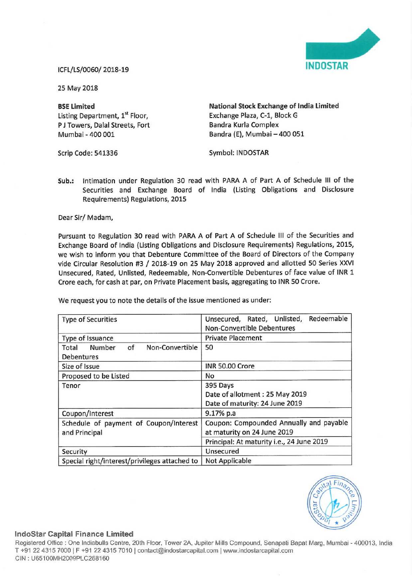

25 May 2018

Listing Department, 1<sup>st</sup> Floor, Exchange Plaza, C-1, Block G<br>
P J Towers. Dalal Streets. Fort Bandra Kurla Complex P J Towers, Dalal Streets, Fort<br>Mumbai - 400 001

BSE Limited National Stock Exchange of India Limited Bandra (E), Mumbai - 400 051

Scrip Code: 541336 Symbol: INDOSTAR

Sub.: intimation under Regulation 30 read with PARA <sup>A</sup> of Part <sup>A</sup> of Schedule III of the Securities and Exchange Board of India (Listing Obligations and Disclosure Requirements) Regulations, 2015

Dear Sir/ Madam,

Pursuant to Regulation <sup>30</sup> read with PARA <sup>A</sup> of Part <sup>A</sup> of Schedule III of the Securities and Exchange Board of india (Listing Obligations and Disclosure Requirements) Regulations, 2015, we wish to inform you that Debenture Committee of the Board of Directors of the Company vide Circular Resolution #3 / 2018-19 on <sup>25</sup> May <sup>2018</sup> approved and allotted <sup>50</sup> Series XXVI Unsecured, Rated, Unlisted, Redeemable, Non-Convertible Debentures of face value of INR <sup>1</sup> Crore each, for cash at par, on Private Placement basis, aggregating to INR SO Crore.

We request you to note the details of the issue mentioned as under:

| <b>Type of Securities</b>                               | Redeemable<br>Unsecured, Rated, Unlisted,<br><b>Non-Convertible Debentures</b> |
|---------------------------------------------------------|--------------------------------------------------------------------------------|
| Type of Issuance                                        | <b>Private Placement</b>                                                       |
| Number<br>Non-Convertible<br>of<br>Total<br>Debentures  | 50                                                                             |
| Size of Issue                                           | INR 50.00 Crore                                                                |
| Proposed to be Listed                                   | No                                                                             |
| Tenor                                                   | 395 Days<br>Date of allotment: 25 May 2019<br>Date of maturity: 24 June 2019   |
| Coupon/Interest                                         | 9.17% p.a                                                                      |
| Schedule of payment of Coupon/Interest<br>and Principal | Coupon: Compounded Annually and payable<br>at maturity on 24 June 2019         |
|                                                         | Principal: At maturity i.e., 24 June 2019                                      |
| Security                                                | Unsecured                                                                      |
| Special right/interest/privileges attached to           | <b>Not Applicable</b>                                                          |



## lndoStar Capital Finance Limited

Registered Office : One Indiabulls Centre, 20th Floor, Tower 2A, Jupiter Mills Compound, Senapati Bapat Marg, Mumbai - 400013, India T +91 22 4315 7000 | F +91 22 4315 7010 | contact@indostarcapital.com | www.indostarcapital.com CIN ' U65700MH20009L0258160